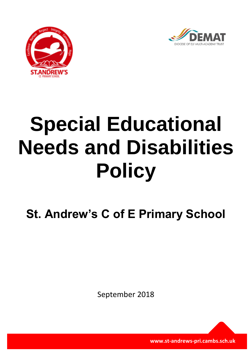



# **Special Educational Needs and Disabilities Policy**

**St. Andrew's C of E Primary School**

September 2018

**www.st-andrews-pri.cambs.sch.uk**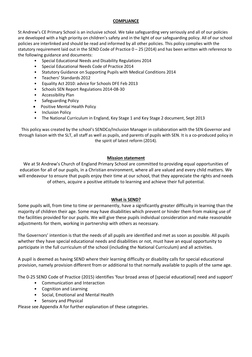## **COMPLIANCE**

St Andrew's CE Primary School is an inclusive school. We take safeguarding very seriously and all of our policies are developed with a high priority on children's safety and in the light of our safeguarding policy. All of our school policies are interlinked and should be read and informed by all other policies. This policy complies with the statutory requirement laid out in the SEND Code of Practice 0 – 25 (2014) and has been written with reference to the following guidance and documents:

- Special Educational Needs and Disability Regulations 2014
- Special Educational Needs Code of Practice 2014
- Statutory Guidance on Supporting Pupils with Medical Conditions 2014
- Teachers' Standards 2012
- Equality Act 2010: advice for Schools DFE Feb 2013
- Schools SEN Report Regulations 2014-08-30
- Accessibility Plan
- Safeguarding Policy
- Positive Mental Health Policy
- Inclusion Policy
- The National Curriculum in England, Key Stage 1 and Key Stage 2 document, Sept 2013

This policy was created by the school's SENDCo/Inclusion Manager in collaboration with the SEN Governor and through liaison with the SLT, all staff as well as pupils, and parents of pupils with SEN. It is a co-produced policy in the spirit of latest reform (2014).

## **Mission statement**

We at St Andrew's Church of England Primary School are committed to providing equal opportunities of education for all of our pupils, in a Christian environment, where all are valued and every child matters. We will endeavour to ensure that pupils enjoy their time at our school, that they appreciate the rights and needs of others, acquire a positive attitude to learning and achieve their full potential.

## **What is SEND?**

Some pupils will, from time to time or permanently, have a significantly greater difficulty in learning than the majority of children their age. Some may have disabilities which prevent or hinder them from making use of the facilities provided for our pupils. We will give these pupils individual consideration and make reasonable adjustments for them, working in partnership with others as necessary.

The Governors' intention is that the needs of all pupils are identified and met as soon as possible. All pupils whether they have special educational needs and disabilities or not, must have an equal opportunity to participate in the full curriculum of the school (including the National Curriculum) and all activities.

A pupil is deemed as having SEND where their learning difficulty or disability calls for special educational provision, namely provision different from or additional to that normally available to pupils of the same age.

The 0-25 SEND Code of Practice (2015) identifies 'four broad areas of [special educational] need and support'

- Communication and Interaction
- Cognition and Learning
- Social, Emotional and Mental Health
- Sensory and Physical

Please see Appendix A for further explanation of these categories.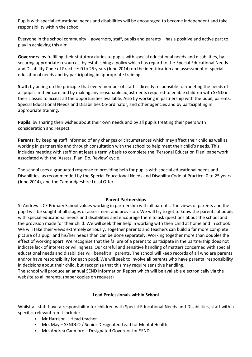Pupils with special educational needs and disabilities will be encouraged to become independent and take responsibility within the school.

Everyone in the school community – governors, staff, pupils and parents – has a positive and active part to play in achieving this aim:

**Governors**: by fulfilling their statutory duties to pupils with special educational needs and disabilities, by securing appropriate resources, by establishing a policy which has regard to the Special Educational Needs and Disability Code of Practice: 0 to 25 years (June 2014) on the identification and assessment of special educational needs and by participating in appropriate training.

**Staff:** by acting on the principle that every member of staff is directly responsible for meeting the needs of all pupils in their care and by making any reasonable adjustments required to enable children with SEND in their classes to access all the opportunities available. Also by working in partnership with the pupil, parents, Special Educational Needs and Disabilities Co-ordinator, and other agencies and by participating in appropriate training.

**Pupils**: by sharing their wishes about their own needs and by all pupils treating their peers with consideration and respect.

**Parents**: by keeping staff informed of any changes or circumstances which may affect their child as well as working in partnership and through consultation with the school to help meet their child's needs. This includes meeting with staff on at least a termly basis to complete the 'Personal Education Plan' paperwork associated with the 'Assess, Plan, Do, Review' cycle.

The school uses a graduated response to providing help for pupils with special educational needs and Disabilities, as recommended by the Special Educational Needs and Disability Code of Practice: 0 to 25 years (June 2014), and the Cambridgeshire Local Offer.

# **Parent Partnerships**

St Andrew's CE Primary School values working in partnership with all parents. The views of parents and the pupil will be sought at all stages of assessment and provision. We will try to get to know the parents of pupils with special educational needs and disabilities and encourage them to ask questions about the school and the provision made for their child. We will seek their help in working with their child at home and in school. We will take their views extremely seriously. Together parents and teachers can build a far more complete picture of a pupil and his/her needs than can be done separately. Working together more than doubles the effect of working apart. We recognise that the failure of a parent to participate in the partnership does not indicate lack of interest or willingness. Our careful and sensitive handling of matters concerned with special educational needs and disabilities will benefit all parents. The school will keep records of all who are parents and/or have responsibility for each pupil. We will seek to involve all parents who have parental responsibility in decisions about their child, but recognise that this may require sensitive handling.

The school will produce an annual SEND Information Report which will be available electronically via the website to all parents. (paper copies on request)

## **Lead Professionals within School**

Whilst all staff have a responsibility for children with Special Educational Needs and Disabilities, staff with a specific, relevant remit include:

- Mr Harrison Head teacher
- Mrs May SENDCO / Senior Designated Lead for Mental Health
- Mrs Andrea Cadmore Designated Governor for SEND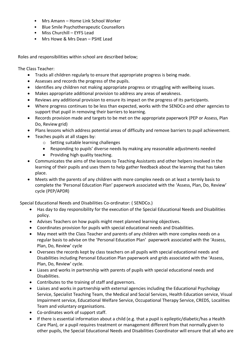- Mrs Amann Home Link School Worker
- Blue Smile Psychotherapeutic Counsellors
- Miss Churchill EYFS Lead
- Mrs Howe & Mrs Dean PSHE Lead

Roles and responsibilities within school are described below;

The Class Teacher:

- Tracks all children regularly to ensure that appropriate progress is being made.
- Assesses and records the progress of the pupils.
- Identifies any children not making appropriate progress or struggling with wellbeing issues.
- Makes appropriate additional provision to address any areas of weakness.
- Reviews any additional provision to ensure its impact on the progress of its participants.
- Where progress continues to be less than expected, works with the SENDCo and other agencies to support that pupil in removing their barriers to learning.
- Records provision made and targets to be met on the appropriate paperwork (PEP or Assess, Plan Do, Review grid)
- Plans lessons which address potential areas of difficulty and remove barriers to pupil achievement.
- Teaches pupils at all stages by:
	- o Setting suitable learning challenges
	- Responding to pupils' diverse needs by making any reasonable adjustments needed
	- Providing high quality teaching.
- Communicates the aims of the lessons to Teaching Assistants and other helpers involved in the learning of their pupils and uses them to help gather feedback about the learning that has taken place.
- Meets with the parents of any children with more complex needs on at least a termly basis to complete the 'Personal Education Plan' paperwork associated with the 'Assess, Plan, Do, Review' cycle (PEP/APDR)

Special Educational Needs and Disabilities Co-ordinator: ( SENDCo.)

- Has day to day responsibility for the execution of the Special Educational Needs and Disabilities policy.
- Advises Teachers on how pupils might meet planned learning objectives.
- Coordinates provision for pupils with special educational needs and Disabilities.
- May meet with the Class Teacher and parents of any children with more complex needs on a regular basis to advise on the 'Personal Education Plan' paperwork associated with the 'Assess, Plan, Do, Review' cycle
- Oversees the records kept by class teachers on all pupils with special educational needs and Disabilities including Personal Education Plan paperwork and grids associated with the 'Assess, Plan, Do, Review' cycle.
- Liases and works in partnership with parents of pupils with special educational needs and Disabilities.
- Contributes to the training of staff and governors.
- Liaises and works in partnership with external agencies including the Educational Psychology Service, Specialist Teaching Team, the Medical and Social Services, Health Education service, Visual Impairment service, Educational Welfare Service, Occupational Therapy Service, CREDS, Localities Team and voluntary organisations.
- Co-ordinates work of support staff.
- If there is essential information about a child (e.g. that a pupil is epileptic/diabetic/has a Health Care Plan), or a pupil requires treatment or management different from that normally given to other pupils, the Special Educational Needs and Disabilities Coordinator will ensure that all who are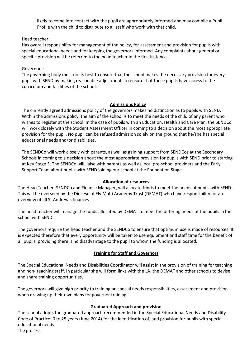likely to come into contact with the pupil are appropriately informed and may compile a Pupil Profile with the child to distribute to all staff who work with that child.

Head teacher:

Has overall responsibility for management of the policy, for assessment and provision for pupils with special educational needs and for keeping the governors informed. Any complaints about general or specific provision will be referred to the head teacher in the first instance.

Governors:

The governing body must do its best to ensure that the school makes the necessary provision for every pupil with SEND by making reasonable adjustments to ensure that these pupils have access to the curriculum and facilities of the school.

## **Admissions Policy**

The currently agreed admissions policy of the governors makes no distinction as to pupils with SEND. Within the admissions policy, the aim of the school is to meet the needs of the child of any parent who wishes to register at the school. In the case of pupils with an Education, Health and Care Plan, the SENDCo will work closely with the Student Assessment Officer in coming to a decision about the most appropriate provision for the pupil. No pupil can be refused admission solely on the ground that he/she has special educational needs and/or disabilities.

The SENDCo will work closely with parents, as well as gaining support from SENDCos at the Secondary Schools in coming to a decision about the most appropriate provision for pupils with SEND prior to starting at Key Stage 3. The SENDCo will liaise with parents as well as local pre-school providers and the Early Support Team about pupils with SEND joining our school at the Foundation Stage.

# **Allocation of resources**

The Head Teacher, SENDCo and Finance Manager, will allocate funds to meet the needs of pupils with SEND. This will be overseen by the Diocese of Ely Multi Academy Trust (DEMAT) who have responsibility for an overview of all St Andrew's finances

The head teacher will manage the funds allocated by DEMAT to meet the differing needs of the pupils in the school with SEND.

The governors require the head teacher and the SENDCo to ensure that optimum use is made of resources. It is expected therefore that every opportunity will be taken to use equipment and staff time for the benefit of all pupils, providing there is no disadvantage to the pupil to whom the funding is allocated.

# **Training for Staff and Governors**

The Special Educational Needs and Disabilities Coordinator will assist in the provision of training for teaching and non- teaching staff. In particular she will form links with the LA, the DEMAT and other schools to devise and share training opportunities.

The governors will give high priority to training on special needs responsibilities, assessment and provision when drawing up their own plans for governor training.

# **Graduated Approach and provision**

The school adopts the graduated approach recommended in the Special Educational Needs and Disability Code of Practice: 0 to 25 years (June 2014) for the identification of, and provision for pupils with special educational needs.

The process: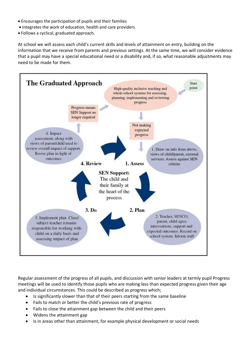- Encourages the participation of pupils and their families
- Integrates the work of education, health and care providers
- Follows a cyclical, graduated approach.

At school we will assess each child's current skills and levels of attainment on entry, building on the information that we receive from parents and previous settings. At the same time, we will consider evidence that a pupil may have a special educational need or a disability and, if so, what reasonable adjustments may need to be made for them.



Regular assessment of the progress of all pupils, and discussion with senior leaders at termly pupil Progress meetings will be used to identify those pupils who are making less than expected progress given their age and individual circumstances. This could be described as progress which;

- Is significantly slower than that of their peers starting from the same baseline
- Fails to match or better the child's previous rate of progress
- Fails to close the attainment gap between the child and their peers
- Widens the attainment gap
- Is in areas other than attainment, for example physical development or social needs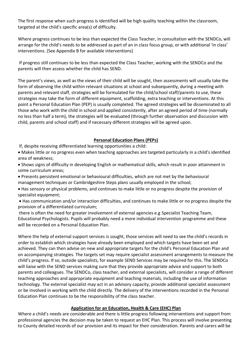The first response when such progress is identified will be high quality teaching within the classroom, targeted at the child's specific area(s) of difficulty.

Where progress continues to be less than expected the Class Teacher, in consultation with the SENDCo, will arrange for the child's needs to be addressed as part of an in class focus group, or with additional 'in class' interventions. (See Appendix B for available interventions)

If progress still continues to be less than expected the Class Teacher, working with the SENDCo and the parents will then assess whether the child has SEND.

The parent's views, as well as the views of their child will be sought, then assessments will usually take the form of observing the child within relevant situations at school and subsequently, during a meeting with parents and relevant staff, strategies will be formulated for the child/school staff/parents to use, these strategies may take the form of different equipment, scaffolding, extra teaching or interventions. At this point a Personal Education Plan (PEP) is usually completed. The agreed strategies will be disseminated to all those who work with the child in school and applied consistently, after an agreed period of time (normally no less than half a term), the strategies will be evaluated (through further observation and discussion with child, parents and school staff) and if necessary different strategies will be agreed upon.

## **Personal Education Plans (PEPs)**

If, despite receiving differentiated learning opportunities a child:

 Makes little or no progress even when teaching approaches are targeted particularly in a child's identified area of weakness;

 Shows signs of difficulty in developing English or mathematical skills, which result in poor attainment in some curriculum areas;

 Presents persistent emotional or behavioural difficulties, which are not met by the behavioural management techniques or Cambridgeshire Steps plans usually employed in the school;

 Has sensory or physical problems, and continues to make little or no progress despite the provision of specialist equipment;

 Has communication and/or interaction difficulties, and continues to make little or no progress despite the provision of a differentiated curriculum;

there is often the need for greater involvement of external agencies e.g Specialist Teaching Team, Educational Psychologists. Pupils will probably need a more individual intervention programme and these will be recorded on a Personal Education Plan.

Where the help of external support services is sought, those services will need to see the child's records in order to establish which strategies have already been employed and which targets have been set and achieved. They can then advise on new and appropriate targets for the child's Personal Education Plan and on accompanying strategies. The targets set may require specialist assessment arrangements to measure the child's progress. If so, outside specialists, for example SEND Services may be required for this. The SENDCo will liaise with the SEND services making sure that they provide appropriate advice and support to both parents and colleagues. The SENDCo, class teacher, and external specialists, will consider a range of different teaching approaches and appropriate equipment and teaching materials, including the use of information technology. The external specialist may act in an advisory capacity, provide additional specialist assessment or be involved in working with the child directly. The delivery of the interventions recorded in the Personal Education Plan continues to be the responsibility of the class teacher.

# **Application for an Education, Health & Care (EHC) Plan**

Where a child's needs are considerable and there is little progress following interventions and support from professional agencies the decision may be taken to request an EHC Plan. This process will involve presenting to County detailed records of our provision and its impact for their consideration. Parents and carers will be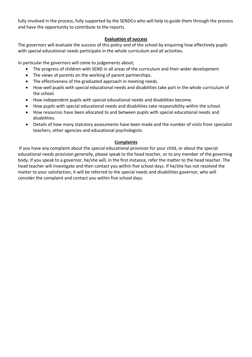fully involved in the process, fully supported by the SENDCo who will help to guide them through the process and have the opportunity to contribute to the reports.

# **Evaluation of success**

The governors will evaluate the success of this policy and of the school by enquiring how effectively pupils with special educational needs participate in the whole curriculum and all activities.

In particular the governors will come to judgements about;

- The progress of children with SEND in all areas of the curriculum and their wider development
- The views of parents on the working of parent partnerships.
- The effectiveness of the graduated approach in meeting needs.
- How well pupils with special educational needs and disabilities take part in the whole curriculum of the school.
- How independent pupils with special educational needs and disabilities become.
- How pupils with special educational needs and disabilities take responsibility within the school.
- How resources have been allocated to and between pupils with special educational needs and disabilities.
- Details of how many statutory assessments have been made and the number of visits from specialist teachers, other agencies and educational psychologists.

## **Complaints**

If you have any complaint about the special educational provision for your child, or about the special educational needs provision generally, please speak to the head teacher, or to any member of the governing body. If you speak to a governor, he/she will, in the first instance, refer the matter to the head teacher. The head teacher will investigate and then contact you within five school days. If he/she has not resolved the matter to your satisfaction, it will be referred to the special needs and disabilities governor, who will consider the complaint and contact you within five school days.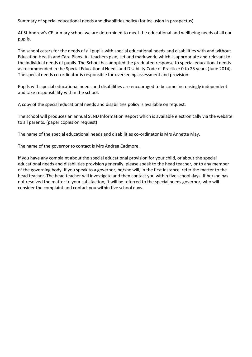Summary of special educational needs and disabilities policy (for inclusion in prospectus)

At St Andrew's CE primary school we are determined to meet the educational and wellbeing needs of all our pupils.

The school caters for the needs of all pupils with special educational needs and disabilities with and without Education Health and Care Plans. All teachers plan, set and mark work, which is appropriate and relevant to the individual needs of pupils. The School has adopted the graduated response to special educational needs as recommended in the Special Educational Needs and Disability Code of Practice: 0 to 25 years (June 2014). The special needs co-ordinator is responsible for overseeing assessment and provision.

Pupils with special educational needs and disabilities are encouraged to become increasingly independent and take responsibility within the school.

A copy of the special educational needs and disabilities policy is available on request.

The school will produces an annual SEND Information Report which is available electronically via the website to all parents. (paper copies on request)

The name of the special educational needs and disabilities co-ordinator is Mrs Annette May.

The name of the governor to contact is Mrs Andrea Cadmore.

If you have any complaint about the special educational provision for your child, or about the special educational needs and disabilities provision generally, please speak to the head teacher, or to any member of the governing body. If you speak to a governor, he/she will, in the first instance, refer the matter to the head teacher. The head teacher will investigate and then contact you within five school days. If he/she has not resolved the matter to your satisfaction, it will be referred to the special needs governor, who will consider the complaint and contact you within five school days.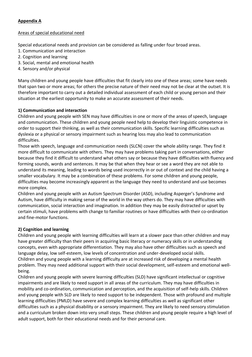# **Appendix A**

## Areas of special educational need

Special educational needs and provision can be considered as falling under four broad areas.

- 1. Communication and interaction
- 2. Cognition and learning
- 3. Social, mental and emotional health
- 4. Sensory and/or physical

Many children and young people have difficulties that fit clearly into one of these areas; some have needs that span two or more areas; for others the precise nature of their need may not be clear at the outset. It is therefore important to carry out a detailed individual assessment of each child or young person and their situation at the earliest opportunity to make an accurate assessment of their needs.

# **1) Communication and interaction**

Children and young people with SEN may have difficulties in one or more of the areas of speech, language and communication. These children and young people need help to develop their linguistic competence in order to support their thinking, as well as their communication skills. Specific learning difficulties such as dyslexia or a physical or sensory impairment such as hearing loss may also lead to communication difficulties.

Those with speech, language and communication needs (SLCN) cover the whole ability range. They find it more difficult to communicate with others. They may have problems taking part in conversations, either because they find it difficult to understand what others say or because they have difficulties with fluency and forming sounds, words and sentences. It may be that when they hear or see a word they are not able to understand its meaning, leading to words being used incorrectly in or out of context and the child having a smaller vocabulary. It may be a combination of these problems. For some children and young people, difficulties may become increasingly apparent as the language they need to understand and use becomes more complex.

Children and young people with an Autism Spectrum Disorder (ASD), including Asperger's Syndrome and Autism, have difficulty in making sense of the world in the way others do. They may have difficulties with communication, social interaction and imagination. In addition they may be easily distracted or upset by certain stimuli, have problems with change to familiar routines or have difficulties with their co-ordination and fine-motor functions.

# **2) Cognition and learning**

Children and young people with learning difficulties will learn at a slower pace than other children and may have greater difficulty than their peers in acquiring basic literacy or numeracy skills or in understanding concepts, even with appropriate differentiation. They may also have other difficulties such as speech and language delay, low self-esteem, low levels of concentration and under-developed social skills. Children and young people with a learning difficulty are at increased risk of developing a mental health problem. They may need additional support with their social development, self-esteem and emotional wellbeing.

Children and young people with severe learning difficulties (SLD) have significant intellectual or cognitive impairments and are likely to need support in all areas of the curriculum. They may have difficulties in mobility and co-ordination, communication and perception, and the acquisition of self-help skills. Children and young people with SLD are likely to need support to be independent. Those with profound and multiple learning difficulties (PMLD) have severe and complex learning difficulties as well as significant other difficulties such as a physical disability or a sensory impairment. They are likely to need sensory stimulation and a curriculum broken down into very small steps. These children and young people require a high level of adult support, both for their educational needs and for their personal care.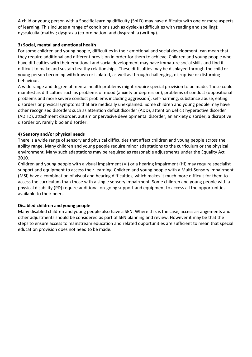A child or young person with a Specific learning difficulty (SpLD) may have difficulty with one or more aspects of learning. This includes a range of conditions such as dyslexia (difficulties with reading and spelling); dyscalculia (maths); dyspraxia (co-ordination) and dysgraphia (writing).

# **3) Social, mental and emotional health**

For some children and young people, difficulties in their emotional and social development, can mean that they require additional and different provision in order for them to achieve. Children and young people who have difficulties with their emotional and social development may have immature social skills and find it difficult to make and sustain healthy relationships. These difficulties may be displayed through the child or young person becoming withdrawn or isolated, as well as through challenging, disruptive or disturbing behaviour.

A wide range and degree of mental health problems might require special provision to be made. These could manifest as difficulties such as problems of mood (anxiety or depression), problems of conduct (oppositional problems and more severe conduct problems including aggression), self-harming, substance abuse, eating disorders or physical symptoms that are medically unexplained. Some children and young people may have other recognised disorders such as attention deficit disorder (ADD), attention deficit hyperactive disorder (ADHD), attachment disorder, autism or pervasive developmental disorder, an anxiety disorder, a disruptive disorder or, rarely bipolar disorder.

# **4) Sensory and/or physical needs**

There is a wide range of sensory and physical difficulties that affect children and young people across the ability range. Many children and young people require minor adaptations to the curriculum or the physical environment. Many such adaptations may be required as reasonable adjustments under the Equality Act 2010.

Children and young people with a visual impairment (VI) or a hearing impairment (HI) may require specialist support and equipment to access their learning. Children and young people with a Multi-Sensory Impairment (MSI) have a combination of visual and hearing difficulties, which makes it much more difficult for them to access the curriculum than those with a single sensory impairment. Some children and young people with a physical disability (PD) require additional on-going support and equipment to access all the opportunities available to their peers.

# **Disabled children and young people**

Many disabled children and young people also have a SEN. Where this is the case, access arrangements and other adjustments should be considered as part of SEN planning and review. However it may be that the steps to ensure access to mainstream education and related opportunities are sufficient to mean that special education provision does not need to be made.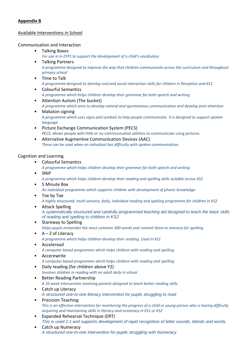# **Appendix B**

## Available Interventions in School

## Communication and Interaction

- Talking Boxes
	- *For use in in EYFS to support the development of a child's vocabulary*
- Talking Partners *A programme designed to improve the way that children communicate across the curriculum and throughout primary school*
- Time to Talk *A programme designed to develop oral and social interaction skills for children in Reception and KS1*
- Colourful Semantics *A programme which helps children develop their grammar for both speech and writing*
- Attention Autism (The bucket) *A programme which aims to develop natural and spontaneous communication and develop joint attention*
- Makaton signing *A programme which uses signs and symbols to help people communicate. It is designed to support spoken language*
- Picture Exchange Communication System (PECS) *PECS*, allows people with little or no communication abilities to communicate using pictures.
- Alternative Augmentive Communication Devices (AAC) *These can be used when an individual has difficulty with spoken communication.*

## Cognition and Learning

- Colourful Semantics
	- *A programme which helps children develop their grammar for both speech and writing*
- SNIP

*A programme which helps children develop their reading and spelling skills suitable across KS2*

- 5 Minute Box *An individual programme which supports children with development of phonic knowledge*
- Toe by Toe *A highly structured, multi-sensory, daily, individual reading and spelling programme for children in KS2*
- Attack Spelling *A systematically structured and carefully programmed teaching aid designed to teach the basic skills of reading and spelling to children in KS2*
- Stareway to Spelling *Helps pupils remember the most common 300 words and commit them to memory for spelling*
- $A Z$  of Literacy *A programme which helps children develop their reading. Used in KS1*
- Acceleread *A computer based programme which helps children with reading and spelling*
- Accerewrite *A computer based programme which helps children with reading and spelling*
- Daily reading (for children above Y2) *Involves children in reading with an adult daily in school*
- Better Reading Partnership *A 10 week intervention involving parents designed to teach better reading skills*
- Catch up Literacy *A structured one-to-one literacy intervention for pupils struggling to read*
- Precision Teaching *This is an effective intervention for monitoring the progress of a child or young person who is having difficulty acquiring and maintaining skills in literacy and numeracy in KS1 or KS2*
- Expanded Rehearsal Technique (ERT) *This is used 1:1 and supports development of rapid recognition of letter sounds, blends and words.*
- Catch up Numeracy *A structured one-to-one intervention for pupils struggling with Numeracy*